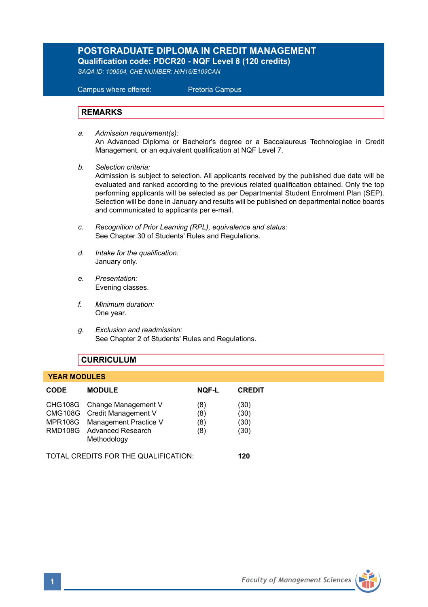# **POSTGRADUATE DIPLOMA IN CREDIT MANAGEMENT Qualification code: PDCR20 - NQF Level 8 (120 credits)**

*SAQA ID: 109564, CHE NUMBER: H/H16/E109CAN* 

 Campus where offered: Pretoria Campus

#### **REMARKS**

- *a. Admission requirement(s):*  An Advanced Diploma or Bachelor's degree or a Baccalaureus Technologiae in Credit Management, or an equivalent qualification at NQF Level 7.
- *b. Selection criteria:*

Admission is subject to selection. All applicants received by the published due date will be evaluated and ranked according to the previous related qualification obtained. Only the top performing applicants will be selected as per Departmental Student Enrolment Plan (SEP). Selection will be done in January and results will be published on departmental notice boards and communicated to applicants per e-mail.

- *c. Recognition of Prior Learning (RPL), equivalence and status:* See Chapter 30 of Students' Rules and Regulations.
- *d. Intake for the qualification:* January only.
- *e. Presentation:* Evening classes.
- *f. Minimum duration:* One year.
- *g. Exclusion and readmission:* See Chapter 2 of Students' Rules and Regulations.

### **CURRICULUM**

#### **YEAR MODULES**

| <b>CODE</b>                          | <b>MODULE</b>                                                                                                                           | <b>NOF-L</b>             | <b>CREDIT</b>                |
|--------------------------------------|-----------------------------------------------------------------------------------------------------------------------------------------|--------------------------|------------------------------|
|                                      | CHG108G Change Management V<br>CMG108G Credit Management V<br>MPR108G Management Practice V<br>RMD108G Advanced Research<br>Methodology | (8)<br>(8)<br>(8)<br>(8) | (30)<br>(30)<br>(30)<br>(30) |
| TOTAL CREDITS FOR THE QUALIFICATION: |                                                                                                                                         |                          | 120                          |